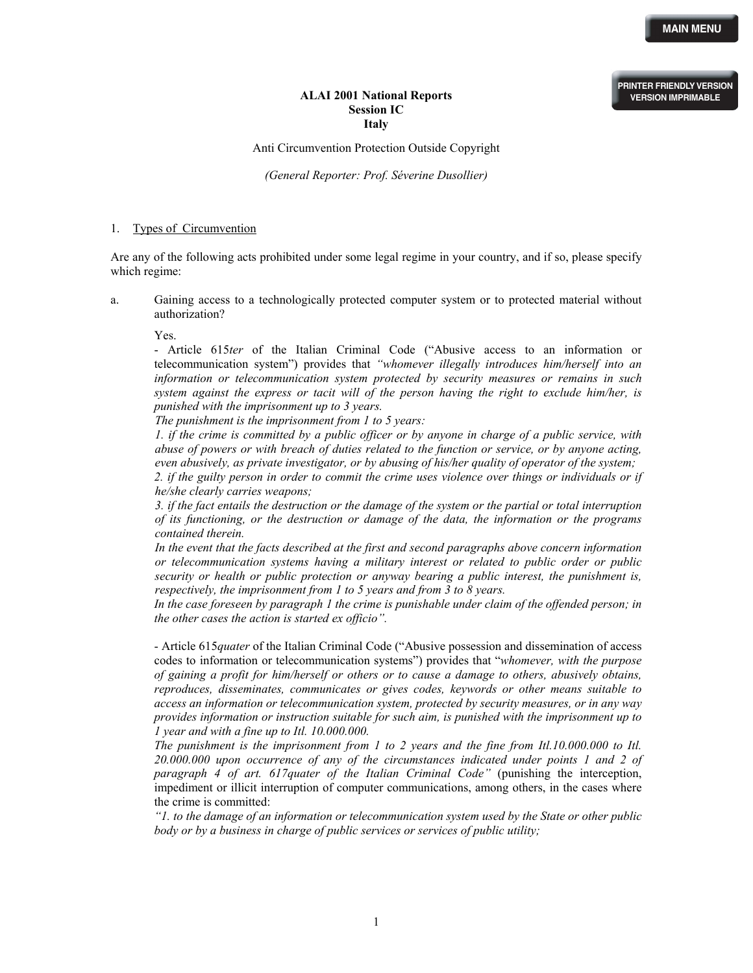**PRINTER FRIENDLY VERSION VERSION IMPRIMABLE**

# **ALAI 2001 National Reports Session IC Italy**

Anti Circumvention Protection Outside Copyright

*(General Reporter: Prof. Séverine Dusollier)*

#### 1. Types of Circumvention

Are any of the following acts prohibited under some legal regime in your country, and if so, please specify which regime:

a. Gaining access to a technologically protected computer system or to protected material without authorization?

Yes.

- Article 615*ter* of the Italian Criminal Code ("Abusive access to an information or telecommunication system") provides that *"whomever illegally introduces him/herself into an information or telecommunication system protected by security measures or remains in such system against the express or tacit will of the person having the right to exclude him/her, is punished with the imprisonment up to 3 years.* 

*The punishment is the imprisonment from 1 to 5 years:* 

*1. if the crime is committed by a public officer or by anyone in charge of a public service, with abuse of powers or with breach of duties related to the function or service, or by anyone acting, even abusively, as private investigator, or by abusing of his/her quality of operator of the system;* 

*2. if the guilty person in order to commit the crime uses violence over things or individuals or if he/she clearly carries weapons;* 

*3. if the fact entails the destruction or the damage of the system or the partial or total interruption of its functioning, or the destruction or damage of the data, the information or the programs contained therein.* 

*In the event that the facts described at the first and second paragraphs above concern information or telecommunication systems having a military interest or related to public order or public security or health or public protection or anyway bearing a public interest, the punishment is, respectively, the imprisonment from 1 to 5 years and from 3 to 8 years.* 

*In the case foreseen by paragraph 1 the crime is punishable under claim of the offended person; in the other cases the action is started ex officio".* 

- Article 615*quater* of the Italian Criminal Code ("Abusive possession and dissemination of access codes to information or telecommunication systems") provides that "*whomever, with the purpose of gaining a profit for him/herself or others or to cause a damage to others, abusively obtains, reproduces, disseminates, communicates or gives codes, keywords or other means suitable to access an information or telecommunication system, protected by security measures, or in any way provides information or instruction suitable for such aim, is punished with the imprisonment up to 1 year and with a fine up to Itl. 10.000.000.* 

*The punishment is the imprisonment from 1 to 2 years and the fine from Itl.10.000.000 to Itl. 20.000.000 upon occurrence of any of the circumstances indicated under points 1 and 2 of paragraph 4 of art. 617quater of the Italian Criminal Code"* (punishing the interception, impediment or illicit interruption of computer communications, among others, in the cases where the crime is committed:

*"1. to the damage of an information or telecommunication system used by the State or other public body or by a business in charge of public services or services of public utility;*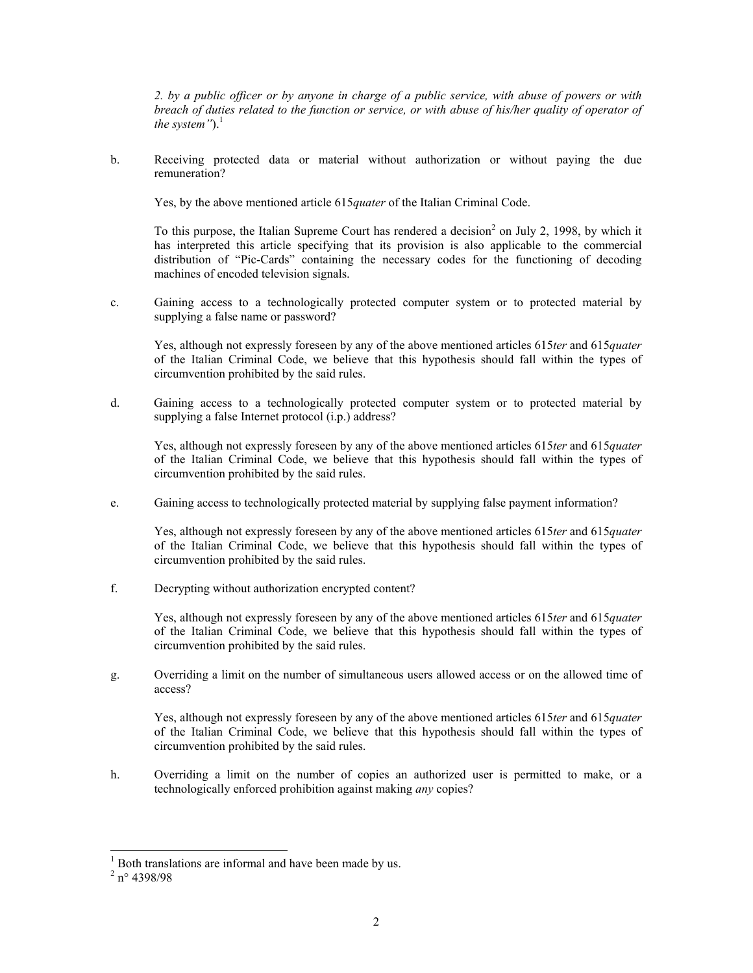*2. by a public officer or by anyone in charge of a public service, with abuse of powers or with breach of duties related to the function or service, or with abuse of his/her quality of operator of the system*" $)$ .<sup>[1](#page-1-0)</sup>

b. Receiving protected data or material without authorization or without paying the due remuneration?

Yes, by the above mentioned article 615*quater* of the Italian Criminal Code.

To this purpose, the Italian Supreme Court has rendered a decision<sup>[2](#page-1-1)</sup> on July 2, 1998, by which it has interpreted this article specifying that its provision is also applicable to the commercial distribution of "Pic-Cards" containing the necessary codes for the functioning of decoding machines of encoded television signals.

c. Gaining access to a technologically protected computer system or to protected material by supplying a false name or password?

Yes, although not expressly foreseen by any of the above mentioned articles 615*ter* and 615*quater* of the Italian Criminal Code, we believe that this hypothesis should fall within the types of circumvention prohibited by the said rules.

d. Gaining access to a technologically protected computer system or to protected material by supplying a false Internet protocol (i.p.) address?

Yes, although not expressly foreseen by any of the above mentioned articles 615*ter* and 615*quater* of the Italian Criminal Code, we believe that this hypothesis should fall within the types of circumvention prohibited by the said rules.

e. Gaining access to technologically protected material by supplying false payment information?

Yes, although not expressly foreseen by any of the above mentioned articles 615*ter* and 615*quater* of the Italian Criminal Code, we believe that this hypothesis should fall within the types of circumvention prohibited by the said rules.

f. Decrypting without authorization encrypted content?

Yes, although not expressly foreseen by any of the above mentioned articles 615*ter* and 615*quater* of the Italian Criminal Code, we believe that this hypothesis should fall within the types of circumvention prohibited by the said rules.

g. Overriding a limit on the number of simultaneous users allowed access or on the allowed time of access?

Yes, although not expressly foreseen by any of the above mentioned articles 615*ter* and 615*quater* of the Italian Criminal Code, we believe that this hypothesis should fall within the types of circumvention prohibited by the said rules.

h. Overriding a limit on the number of copies an authorized user is permitted to make, or a technologically enforced prohibition against making *any* copies?

<span id="page-1-0"></span> $\frac{1}{1}$  $1$  Both translations are informal and have been made by us.

<span id="page-1-1"></span>n° 4398/98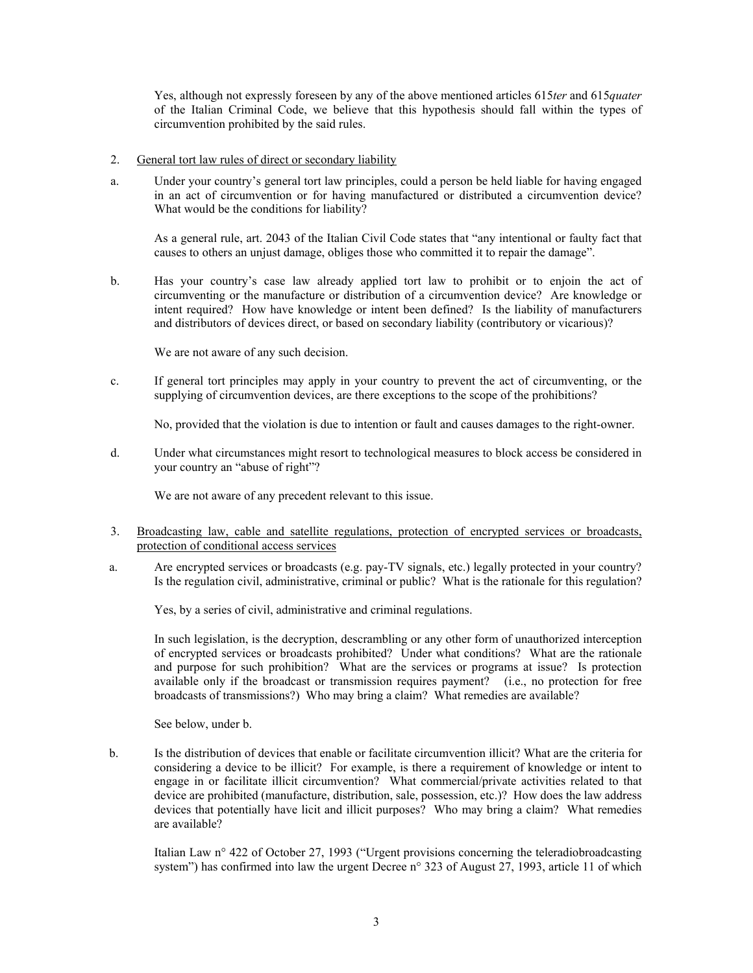Yes, although not expressly foreseen by any of the above mentioned articles 615*ter* and 615*quater* of the Italian Criminal Code, we believe that this hypothesis should fall within the types of circumvention prohibited by the said rules.

- 2. General tort law rules of direct or secondary liability
- a. Under your country's general tort law principles, could a person be held liable for having engaged in an act of circumvention or for having manufactured or distributed a circumvention device? What would be the conditions for liability?

As a general rule, art. 2043 of the Italian Civil Code states that "any intentional or faulty fact that causes to others an unjust damage, obliges those who committed it to repair the damage".

b. Has your country's case law already applied tort law to prohibit or to enjoin the act of circumventing or the manufacture or distribution of a circumvention device? Are knowledge or intent required? How have knowledge or intent been defined? Is the liability of manufacturers and distributors of devices direct, or based on secondary liability (contributory or vicarious)?

We are not aware of any such decision.

c. If general tort principles may apply in your country to prevent the act of circumventing, or the supplying of circumvention devices, are there exceptions to the scope of the prohibitions?

No, provided that the violation is due to intention or fault and causes damages to the right-owner.

d. Under what circumstances might resort to technological measures to block access be considered in your country an "abuse of right"?

We are not aware of any precedent relevant to this issue.

- 3. Broadcasting law, cable and satellite regulations, protection of encrypted services or broadcasts, protection of conditional access services
- a. Are encrypted services or broadcasts (e.g. pay-TV signals, etc.) legally protected in your country? Is the regulation civil, administrative, criminal or public? What is the rationale for this regulation?

Yes, by a series of civil, administrative and criminal regulations.

In such legislation, is the decryption, descrambling or any other form of unauthorized interception of encrypted services or broadcasts prohibited? Under what conditions? What are the rationale and purpose for such prohibition? What are the services or programs at issue? Is protection available only if the broadcast or transmission requires payment? (i.e., no protection for free broadcasts of transmissions?) Who may bring a claim? What remedies are available?

See below, under b.

b. Is the distribution of devices that enable or facilitate circumvention illicit? What are the criteria for considering a device to be illicit? For example, is there a requirement of knowledge or intent to engage in or facilitate illicit circumvention? What commercial/private activities related to that device are prohibited (manufacture, distribution, sale, possession, etc.)? How does the law address devices that potentially have licit and illicit purposes? Who may bring a claim? What remedies are available?

Italian Law n° 422 of October 27, 1993 ("Urgent provisions concerning the teleradiobroadcasting system") has confirmed into law the urgent Decree n° 323 of August 27, 1993, article 11 of which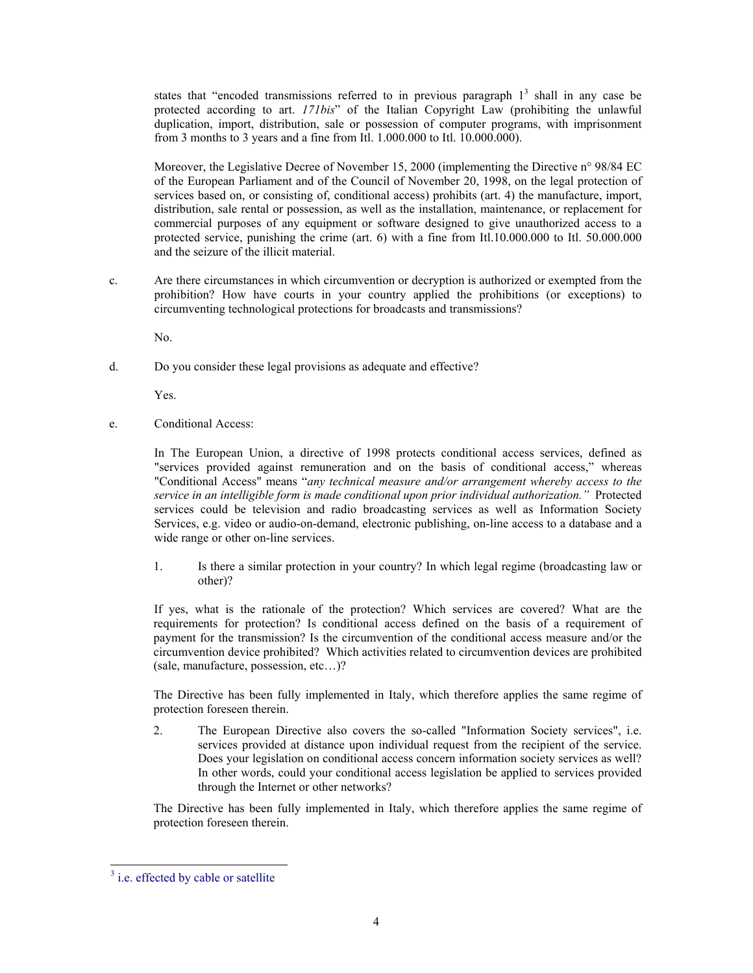states that "encoded transmissions referred to in previous paragraph  $1<sup>3</sup>$  $1<sup>3</sup>$  shall in any case be protected according to art. *171bis*" of the Italian Copyright Law (prohibiting the unlawful duplication, import, distribution, sale or possession of computer programs, with imprisonment from 3 months to 3 years and a fine from Itl. 1.000.000 to Itl. 10.000.000).

Moreover, the Legislative Decree of November 15, 2000 (implementing the Directive n° 98/84 EC of the European Parliament and of the Council of November 20, 1998, on the legal protection of services based on, or consisting of, conditional access) prohibits (art. 4) the manufacture, import, distribution, sale rental or possession, as well as the installation, maintenance, or replacement for commercial purposes of any equipment or software designed to give unauthorized access to a protected service, punishing the crime (art. 6) with a fine from Itl.10.000.000 to Itl. 50.000.000 and the seizure of the illicit material.

c. Are there circumstances in which circumvention or decryption is authorized or exempted from the prohibition? How have courts in your country applied the prohibitions (or exceptions) to circumventing technological protections for broadcasts and transmissions?

No.

d. Do you consider these legal provisions as adequate and effective?

Yes.

e. Conditional Access:

In The European Union, a directive of 1998 protects conditional access services, defined as "services provided against remuneration and on the basis of conditional access," whereas "Conditional Access" means "*any technical measure and/or arrangement whereby access to the service in an intelligible form is made conditional upon prior individual authorization."* Protected services could be television and radio broadcasting services as well as Information Society Services, e.g. video or audio-on-demand, electronic publishing, on-line access to a database and a wide range or other on-line services.

1. Is there a similar protection in your country? In which legal regime (broadcasting law or other)?

If yes, what is the rationale of the protection? Which services are covered? What are the requirements for protection? Is conditional access defined on the basis of a requirement of payment for the transmission? Is the circumvention of the conditional access measure and/or the circumvention device prohibited? Which activities related to circumvention devices are prohibited (sale, manufacture, possession, etc…)?

The Directive has been fully implemented in Italy, which therefore applies the same regime of protection foreseen therein.

 $\mathcal{D}$ The European Directive also covers the so-called "Information Society services", i.e. services provided at distance upon individual request from the recipient of the service. Does your legislation on conditional access concern information society services as well? In other words, could your conditional access legislation be applied to services provided through the Internet or other networks?

The Directive has been fully implemented in Italy, which therefore applies the same regime of protection foreseen therein.

 $\overline{\phantom{a}}$ 

<span id="page-3-0"></span><sup>&</sup>lt;sup>3</sup> i.e. effected by cable or satellite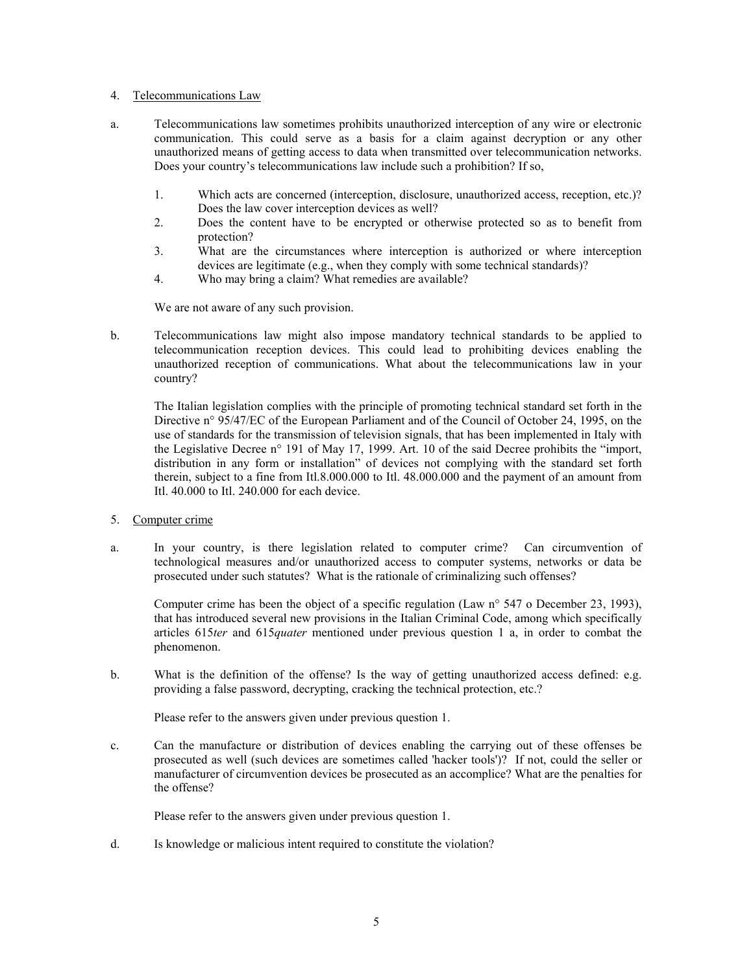### 4. Telecommunications Law

- a. Telecommunications law sometimes prohibits unauthorized interception of any wire or electronic communication. This could serve as a basis for a claim against decryption or any other unauthorized means of getting access to data when transmitted over telecommunication networks. Does your country's telecommunications law include such a prohibition? If so,
	- 1. Which acts are concerned (interception, disclosure, unauthorized access, reception, etc.)? Does the law cover interception devices as well?
	- 2. Does the content have to be encrypted or otherwise protected so as to benefit from protection?
	- 3. What are the circumstances where interception is authorized or where interception devices are legitimate (e.g., when they comply with some technical standards)?
	- 4. Who may bring a claim? What remedies are available?

We are not aware of any such provision.

b. Telecommunications law might also impose mandatory technical standards to be applied to telecommunication reception devices. This could lead to prohibiting devices enabling the unauthorized reception of communications. What about the telecommunications law in your country?

The Italian legislation complies with the principle of promoting technical standard set forth in the Directive n° 95/47/EC of the European Parliament and of the Council of October 24, 1995, on the use of standards for the transmission of television signals, that has been implemented in Italy with the Legislative Decree n° 191 of May 17, 1999. Art. 10 of the said Decree prohibits the "import, distribution in any form or installation" of devices not complying with the standard set forth therein, subject to a fine from Itl.8.000.000 to Itl. 48.000.000 and the payment of an amount from Itl. 40.000 to Itl. 240.000 for each device.

- 5. Computer crime
- a. In your country, is there legislation related to computer crime? Can circumvention of technological measures and/or unauthorized access to computer systems, networks or data be prosecuted under such statutes? What is the rationale of criminalizing such offenses?

Computer crime has been the object of a specific regulation (Law n° 547 o December 23, 1993), that has introduced several new provisions in the Italian Criminal Code, among which specifically articles 615*ter* and 615*quater* mentioned under previous question 1 a, in order to combat the phenomenon.

b. What is the definition of the offense? Is the way of getting unauthorized access defined: e.g. providing a false password, decrypting, cracking the technical protection, etc.?

Please refer to the answers given under previous question 1.

c. Can the manufacture or distribution of devices enabling the carrying out of these offenses be prosecuted as well (such devices are sometimes called 'hacker tools')? If not, could the seller or manufacturer of circumvention devices be prosecuted as an accomplice? What are the penalties for the offense?

Please refer to the answers given under previous question 1.

d. Is knowledge or malicious intent required to constitute the violation?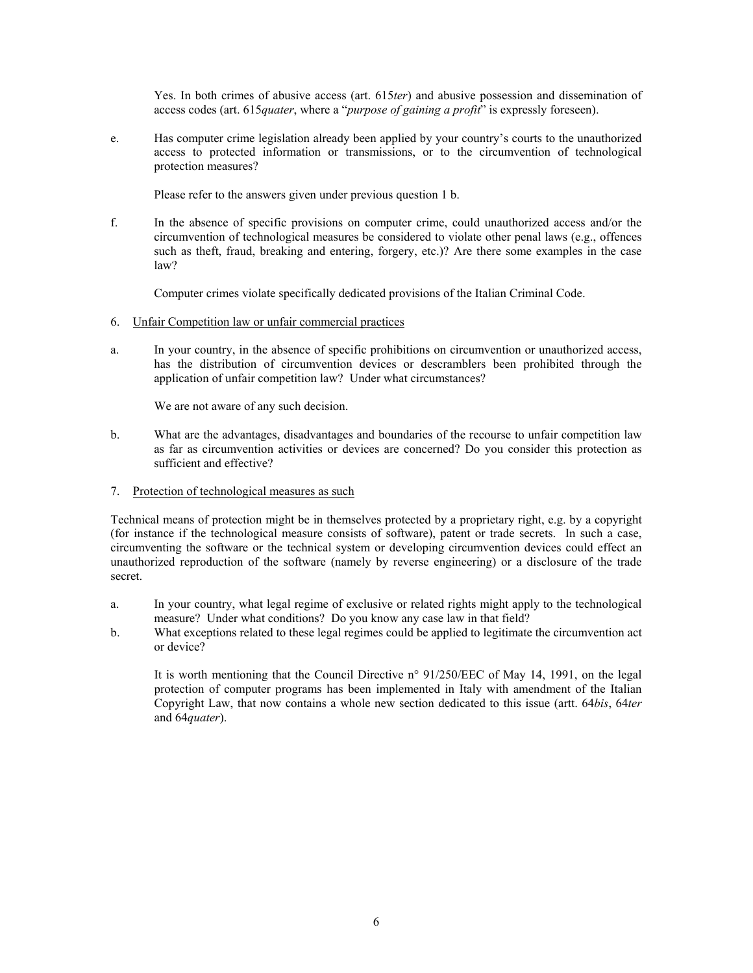Yes. In both crimes of abusive access (art. 615*ter*) and abusive possession and dissemination of access codes (art. 615*quater*, where a "*purpose of gaining a profit*" is expressly foreseen).

e. Has computer crime legislation already been applied by your country's courts to the unauthorized access to protected information or transmissions, or to the circumvention of technological protection measures?

Please refer to the answers given under previous question 1 b.

f. In the absence of specific provisions on computer crime, could unauthorized access and/or the circumvention of technological measures be considered to violate other penal laws (e.g., offences such as theft, fraud, breaking and entering, forgery, etc.)? Are there some examples in the case law?

Computer crimes violate specifically dedicated provisions of the Italian Criminal Code.

- 6. Unfair Competition law or unfair commercial practices
- a. In your country, in the absence of specific prohibitions on circumvention or unauthorized access, has the distribution of circumvention devices or descramblers been prohibited through the application of unfair competition law? Under what circumstances?

We are not aware of any such decision.

- b. What are the advantages, disadvantages and boundaries of the recourse to unfair competition law as far as circumvention activities or devices are concerned? Do you consider this protection as sufficient and effective?
- 7. Protection of technological measures as such

Technical means of protection might be in themselves protected by a proprietary right, e.g. by a copyright (for instance if the technological measure consists of software), patent or trade secrets. In such a case, circumventing the software or the technical system or developing circumvention devices could effect an unauthorized reproduction of the software (namely by reverse engineering) or a disclosure of the trade secret.

- a. In your country, what legal regime of exclusive or related rights might apply to the technological measure? Under what conditions? Do you know any case law in that field?
- b. What exceptions related to these legal regimes could be applied to legitimate the circumvention act or device?

It is worth mentioning that the Council Directive n° 91/250/EEC of May 14, 1991, on the legal protection of computer programs has been implemented in Italy with amendment of the Italian Copyright Law, that now contains a whole new section dedicated to this issue (artt. 64*bis*, 64*ter* and 64*quater*).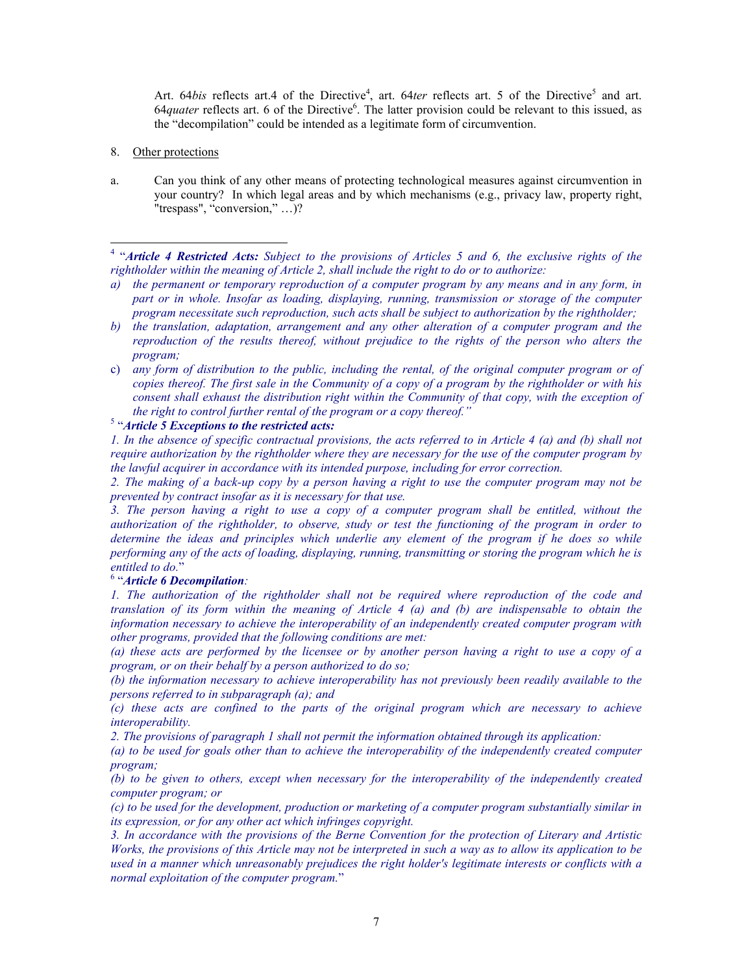Art. 64*bis* reflects art.4 of the Directive<sup>4</sup>, art. 64*ter* reflects art. [5](#page-6-1) of the Directive<sup>5</sup> and art. 64*quater* reflects art. 6 of the Directive<sup>6</sup>. The latter provision could be relevant to this issued, as the "decompilation" could be intended as a legitimate form of circumvention.

### 8. Other protections

a. Can you think of any other means of protecting technological measures against circumvention in your country? In which legal areas and by which mechanisms (e.g., privacy law, property right, "trespass", "conversion," ...)?

<span id="page-6-0"></span> $\frac{1}{4}$  "*Article 4 Restricted Acts: Subject to the provisions of Articles 5 and 6, the exclusive rights of the rightholder within the meaning of Article 2, shall include the right to do or to authorize:* 

- *a) the permanent or temporary reproduction of a computer program by any means and in any form, in part or in whole. Insofar as loading, displaying, running, transmission or storage of the computer program necessitate such reproduction, such acts shall be subject to authorization by the rightholder;*
- *b) the translation, adaptation, arrangement and any other alteration of a computer program and the reproduction of the results thereof, without prejudice to the rights of the person who alters the program;*
- c) *any form of distribution to the public, including the rental, of the original computer program or of copies thereof. The first sale in the Community of a copy of a program by the rightholder or with his consent shall exhaust the distribution right within the Community of that copy, with the exception of the right to control further rental of the program or a copy thereof.*

# <span id="page-6-1"></span>"*Article 5 Exceptions to the restricted acts:*

*1. In the absence of specific contractual provisions, the acts referred to in Article 4 (a) and (b) shall not require authorization by the rightholder where they are necessary for the use of the computer program by the lawful acquirer in accordance with its intended purpose, including for error correction.* 

*2. The making of a back-up copy by a person having a right to use the computer program may not be prevented by contract insofar as it is necessary for that use.* 

*3. The person having a right to use a copy of a computer program shall be entitled, without the authorization of the rightholder, to observe, study or test the functioning of the program in order to determine the ideas and principles which underlie any element of the program if he does so while performing any of the acts of loading, displaying, running, transmitting or storing the program which he is entitled to do.*"

# <span id="page-6-2"></span>"*Article 6 Decompilation:*

*1. The authorization of the rightholder shall not be required where reproduction of the code and translation of its form within the meaning of Article 4 (a) and (b) are indispensable to obtain the information necessary to achieve the interoperability of an independently created computer program with other programs, provided that the following conditions are met:*

*(a) these acts are performed by the licensee or by another person having a right to use a copy of a program, or on their behalf by a person authorized to do so;* 

*(b) the information necessary to achieve interoperability has not previously been readily available to the persons referred to in subparagraph (a); and* 

*(c) these acts are confined to the parts of the original program which are necessary to achieve interoperability.* 

*2. The provisions of paragraph 1 shall not permit the information obtained through its application:* 

*(a) to be used for goals other than to achieve the interoperability of the independently created computer program;* 

*(b) to be given to others, except when necessary for the interoperability of the independently created computer program; or* 

*(c) to be used for the development, production or marketing of a computer program substantially similar in its expression, or for any other act which infringes copyright.* 

*3. In accordance with the provisions of the Berne Convention for the protection of Literary and Artistic Works, the provisions of this Article may not be interpreted in such a way as to allow its application to be used in a manner which unreasonably prejudices the right holder's legitimate interests or conflicts with a normal exploitation of the computer program.*"